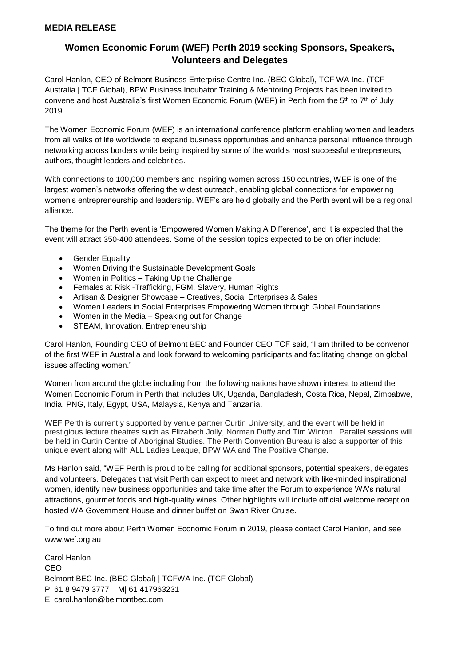## **Women Economic Forum (WEF) Perth 2019 seeking Sponsors, Speakers, Volunteers and Delegates**

Carol Hanlon, CEO of Belmont Business Enterprise Centre Inc. (BEC Global), TCF WA Inc. (TCF Australia | TCF Global), BPW Business Incubator Training & Mentoring Projects has been invited to convene and host Australia's first Women Economic Forum (WEF) in Perth from the 5<sup>th</sup> to 7<sup>th</sup> of July 2019.

The Women Economic Forum (WEF) is an international conference platform enabling women and leaders from all walks of life worldwide to expand business opportunities and enhance personal influence through networking across borders while being inspired by some of the world's most successful entrepreneurs, authors, thought leaders and celebrities.

With connections to 100,000 members and inspiring women across 150 countries, WEF is one of the largest women's networks offering the widest outreach, enabling global connections for empowering women's entrepreneurship and leadership. WEF's are held globally and the Perth event will be a regional alliance.

The theme for the Perth event is 'Empowered Women Making A Difference', and it is expected that the event will attract 350-400 attendees. Some of the session topics expected to be on offer include:

- Gender Equality
- Women Driving the Sustainable Development Goals
- Women in Politics Taking Up the Challenge
- Females at Risk -Trafficking, FGM, Slavery, Human Rights
- Artisan & Designer Showcase Creatives, Social Enterprises & Sales
- Women Leaders in Social Enterprises Empowering Women through Global Foundations
- Women in the Media Speaking out for Change
- STEAM, Innovation, Entrepreneurship

Carol Hanlon, Founding CEO of Belmont BEC and Founder CEO TCF said, "I am thrilled to be convenor of the first WEF in Australia and look forward to welcoming participants and facilitating change on global issues affecting women."

Women from around the globe including from the following nations have shown interest to attend the Women Economic Forum in Perth that includes UK, Uganda, Bangladesh, Costa Rica, Nepal, Zimbabwe, India, PNG, Italy, Egypt, USA, Malaysia, Kenya and Tanzania.

WEF Perth is currently supported by venue partner Curtin University, and the event will be held in prestigious lecture theatres such as Elizabeth Jolly, Norman Duffy and Tim Winton. Parallel sessions will be held in Curtin Centre of Aboriginal Studies. The Perth Convention Bureau is also a supporter of this unique event along with ALL Ladies League, BPW WA and The Positive Change.

Ms Hanlon said, "WEF Perth is proud to be calling for additional sponsors, potential speakers, delegates and volunteers. Delegates that visit Perth can expect to meet and network with like-minded inspirational women, identify new business opportunities and take time after the Forum to experience WA's natural attractions, gourmet foods and high-quality wines. Other highlights will include official welcome reception hosted WA Government House and dinner buffet on Swan River Cruise.

To find out more about Perth Women Economic Forum in 2019, please contact Carol Hanlon, and see www.wef.org.au

Carol Hanlon CEO Belmont BEC Inc. (BEC Global) | TCFWA Inc. (TCF Global) P| 61 8 9479 3777 M| 61 417963231 E| carol.hanlon@belmontbec.com